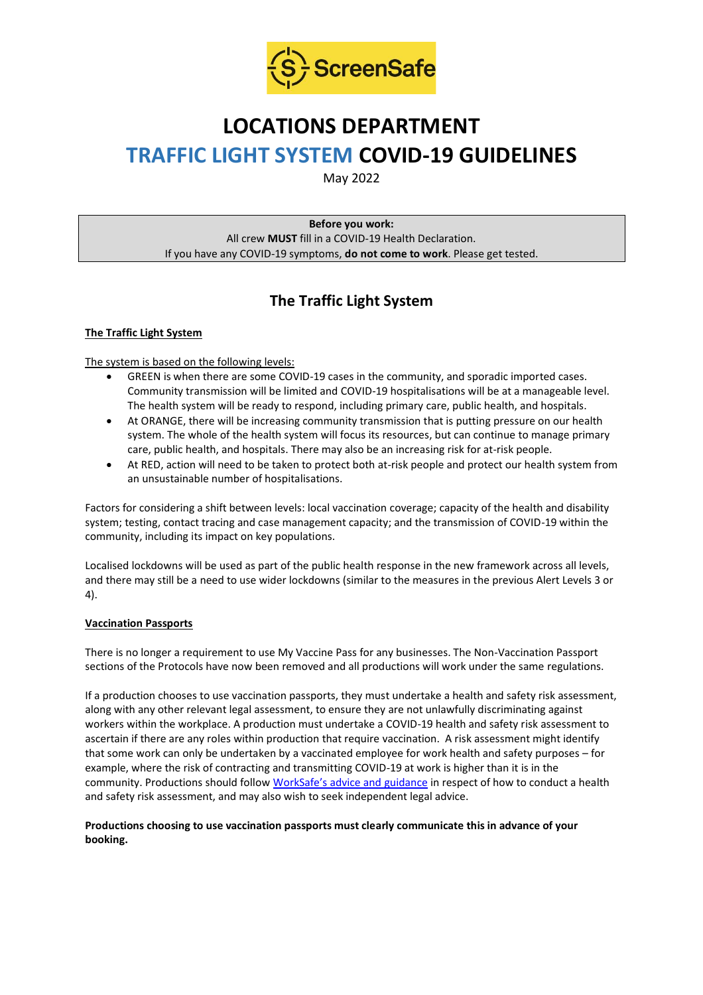

# **LOCATIONS DEPARTMENT TRAFFIC LIGHT SYSTEM COVID-19 GUIDELINES**

May 2022

**Before you work:** All crew **MUST** fill in a COVID-19 Health Declaration. If you have any COVID-19 symptoms, **do not come to work**. Please get tested.

# **The Traffic Light System**

# **The Traffic Light System**

The system is based on the following levels:

- GREEN is when there are some COVID-19 cases in the community, and sporadic imported cases. Community transmission will be limited and COVID-19 hospitalisations will be at a manageable level. The health system will be ready to respond, including primary care, public health, and hospitals.
- At ORANGE, there will be increasing community transmission that is putting pressure on our health system. The whole of the health system will focus its resources, but can continue to manage primary care, public health, and hospitals. There may also be an increasing risk for at-risk people.
- At RED, action will need to be taken to protect both at-risk people and protect our health system from an unsustainable number of hospitalisations.

Factors for considering a shift between levels: local vaccination coverage; capacity of the health and disability system; testing, contact tracing and case management capacity; and the transmission of COVID-19 within the community, including its impact on key populations.

Localised lockdowns will be used as part of the public health response in the new framework across all levels, and there may still be a need to use wider lockdowns (similar to the measures in the previous Alert Levels 3 or 4).

# **Vaccination Passports**

There is no longer a requirement to use My Vaccine Pass for any businesses. The Non-Vaccination Passport sections of the Protocols have now been removed and all productions will work under the same regulations.

If a production chooses to use vaccination passports, they must undertake a health and safety risk assessment, along with any other relevant legal assessment, to ensure they are not unlawfully discriminating against workers within the workplace. A production must undertake a COVID-19 health and safety risk assessment to ascertain if there are any roles within production that require vaccination. A risk assessment might identify that some work can only be undertaken by a vaccinated employee for work health and safety purposes – for example, where the risk of contracting and transmitting COVID-19 at work is higher than it is in the community. Productions should follow [WorkSafe's advice and guidance](https://www.worksafe.govt.nz/managing-health-and-safety/novel-coronavirus-covid/covid-19-controls-at-work/) in respect of how to conduct a health and safety risk assessment, and may also wish to seek independent legal advice.

#### **Productions choosing to use vaccination passports must clearly communicate this in advance of your booking.**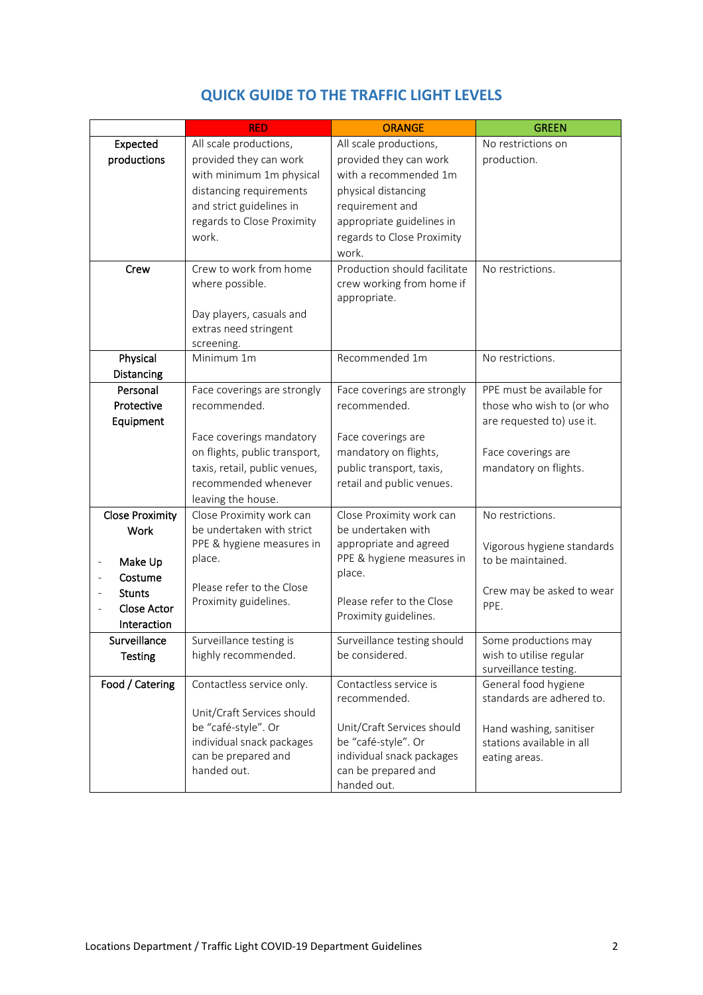|                                         | <b>RED</b>                                       | <b>ORANGE</b>                                    | <b>GREEN</b>               |
|-----------------------------------------|--------------------------------------------------|--------------------------------------------------|----------------------------|
| Expected                                | All scale productions,                           | All scale productions,                           | No restrictions on         |
| productions                             | provided they can work                           | provided they can work                           | production.                |
|                                         | with minimum 1m physical                         | with a recommended 1m                            |                            |
|                                         | distancing requirements                          | physical distancing                              |                            |
|                                         | and strict guidelines in                         | requirement and                                  |                            |
|                                         | regards to Close Proximity                       | appropriate guidelines in                        |                            |
|                                         | work.                                            | regards to Close Proximity                       |                            |
|                                         |                                                  | work.                                            |                            |
| Crew                                    | Crew to work from home                           | Production should facilitate                     | No restrictions.           |
|                                         | where possible.                                  | crew working from home if                        |                            |
|                                         |                                                  | appropriate.                                     |                            |
|                                         | Day players, casuals and                         |                                                  |                            |
|                                         | extras need stringent                            |                                                  |                            |
| Physical                                | screening.<br>Minimum 1m                         | Recommended 1m                                   | No restrictions.           |
| Distancing                              |                                                  |                                                  |                            |
| Personal                                | Face coverings are strongly                      | Face coverings are strongly                      | PPE must be available for  |
| Protective                              | recommended.                                     | recommended.                                     | those who wish to (or who  |
| Equipment                               |                                                  |                                                  | are requested to) use it.  |
|                                         | Face coverings mandatory                         | Face coverings are                               |                            |
|                                         | on flights, public transport,                    | mandatory on flights,                            | Face coverings are         |
|                                         | taxis, retail, public venues,                    | public transport, taxis,                         | mandatory on flights.      |
|                                         | recommended whenever                             | retail and public venues.                        |                            |
|                                         | leaving the house.                               |                                                  |                            |
| <b>Close Proximity</b>                  | Close Proximity work can                         | Close Proximity work can                         | No restrictions.           |
| <b>Work</b>                             | be undertaken with strict                        | be undertaken with                               |                            |
|                                         | PPE & hygiene measures in                        | appropriate and agreed                           | Vigorous hygiene standards |
| Make Up<br>$\qquad \qquad \blacksquare$ | place.                                           | PPE & hygiene measures in                        | to be maintained.          |
| Costume                                 |                                                  | place.                                           |                            |
| <b>Stunts</b>                           | Please refer to the Close                        |                                                  | Crew may be asked to wear  |
| <b>Close Actor</b>                      | Proximity guidelines.                            | Please refer to the Close                        | PPE.                       |
| Interaction                             |                                                  | Proximity guidelines.                            |                            |
| Surveillance                            | Surveillance testing is                          | Surveillance testing should                      | Some productions may       |
| <b>Testing</b>                          | highly recommended.                              | be considered.                                   | wish to utilise regular    |
|                                         |                                                  |                                                  | surveillance testing.      |
| Food / Catering                         | Contactless service only.                        | Contactless service is                           | General food hygiene       |
|                                         |                                                  | recommended.                                     | standards are adhered to.  |
|                                         | Unit/Craft Services should                       |                                                  |                            |
|                                         | be "café-style". Or                              | Unit/Craft Services should                       | Hand washing, sanitiser    |
|                                         | individual snack packages<br>can be prepared and | be "café-style". Or<br>individual snack packages | stations available in all  |
|                                         | handed out.                                      | can be prepared and                              | eating areas.              |
|                                         |                                                  | handed out.                                      |                            |

# **QUICK GUIDE TO THE TRAFFIC LIGHT LEVELS**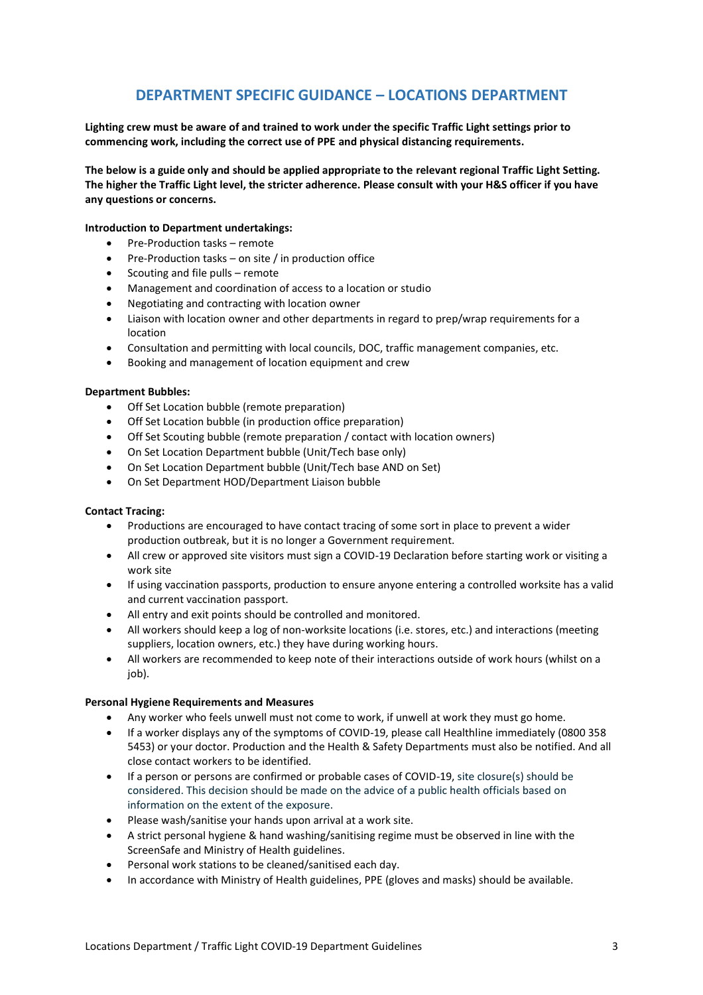# **DEPARTMENT SPECIFIC GUIDANCE – LOCATIONS DEPARTMENT**

**Lighting crew must be aware of and trained to work under the specific Traffic Light settings prior to commencing work, including the correct use of PPE and physical distancing requirements.**

**The below is a guide only and should be applied appropriate to the relevant regional Traffic Light Setting. The higher the Traffic Light level, the stricter adherence. Please consult with your H&S officer if you have any questions or concerns.**

#### **Introduction to Department undertakings:**

- Pre-Production tasks remote
- Pre-Production tasks on site / in production office
- Scouting and file pulls remote
- Management and coordination of access to a location or studio
- Negotiating and contracting with location owner
- Liaison with location owner and other departments in regard to prep/wrap requirements for a location
- Consultation and permitting with local councils, DOC, traffic management companies, etc.
- Booking and management of location equipment and crew

#### **Department Bubbles:**

- Off Set Location bubble (remote preparation)
- Off Set Location bubble (in production office preparation)
- Off Set Scouting bubble (remote preparation / contact with location owners)
- On Set Location Department bubble (Unit/Tech base only)
- On Set Location Department bubble (Unit/Tech base AND on Set)
- On Set Department HOD/Department Liaison bubble

#### **Contact Tracing:**

- Productions are encouraged to have contact tracing of some sort in place to prevent a wider production outbreak, but it is no longer a Government requirement.
- All crew or approved site visitors must sign a COVID-19 Declaration before starting work or visiting a work site
- If using vaccination passports, production to ensure anyone entering a controlled worksite has a valid and current vaccination passport.
- All entry and exit points should be controlled and monitored.
- All workers should keep a log of non-worksite locations (i.e. stores, etc.) and interactions (meeting suppliers, location owners, etc.) they have during working hours.
- All workers are recommended to keep note of their interactions outside of work hours (whilst on a iob).

#### **Personal Hygiene Requirements and Measures**

- Any worker who feels unwell must not come to work, if unwell at work they must go home.
- If a worker displays any of the symptoms of COVID-19, please call Healthline immediately (0800 358 5453) or your doctor. Production and the Health & Safety Departments must also be notified. And all close contact workers to be identified.
- If a person or persons are confirmed or probable cases of COVID-19, site closure(s) should be considered. This decision should be made on the advice of a public health officials based on information on the extent of the exposure.
- Please wash/sanitise your hands upon arrival at a work site.
- A strict personal hygiene & hand washing/sanitising regime must be observed in line with the ScreenSafe and Ministry of Health guidelines.
- Personal work stations to be cleaned/sanitised each day.
- In accordance with Ministry of Health guidelines, PPE (gloves and masks) should be available.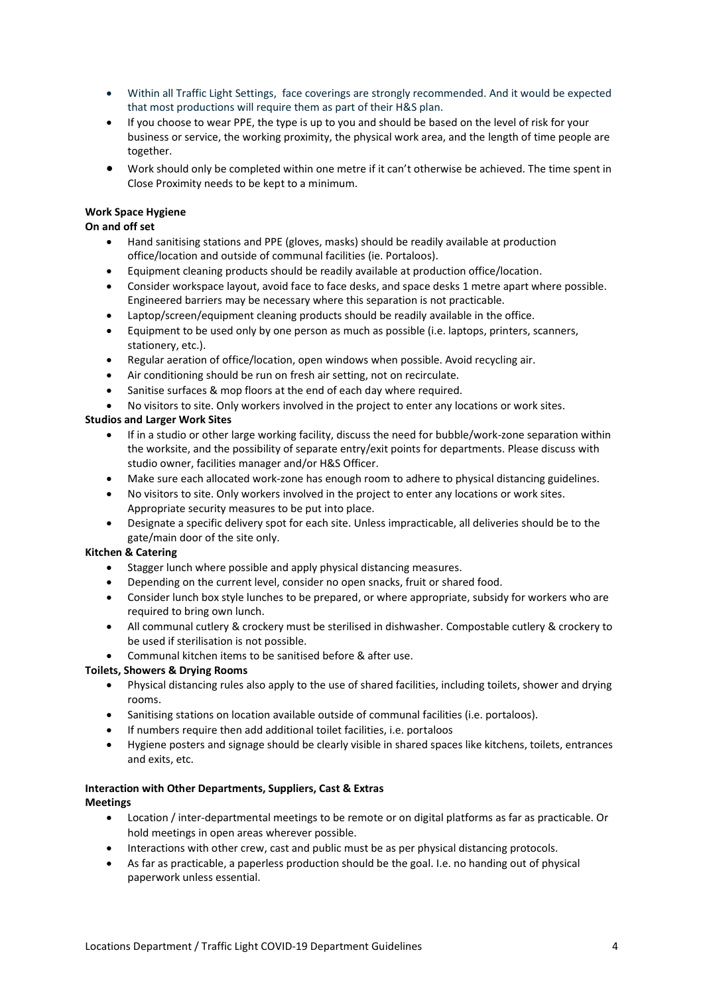- Within all Traffic Light Settings, face coverings are strongly recommended. And it would be expected that most productions will require them as part of their H&S plan.
- If you choose to wear PPE, the type is up to you and should be based on the level of risk for your business or service, the working proximity, the physical work area, and the length of time people are together.
- Work should only be completed within one metre if it can't otherwise be achieved. The time spent in Close Proximity needs to be kept to a minimum.

#### **Work Space Hygiene**

**On and off set**

- Hand sanitising stations and PPE (gloves, masks) should be readily available at production office/location and outside of communal facilities (ie. Portaloos).
- Equipment cleaning products should be readily available at production office/location.
- Consider workspace layout, avoid face to face desks, and space desks 1 metre apart where possible. Engineered barriers may be necessary where this separation is not practicable.
- Laptop/screen/equipment cleaning products should be readily available in the office.
- Equipment to be used only by one person as much as possible (i.e. laptops, printers, scanners, stationery, etc.).
- Regular aeration of office/location, open windows when possible. Avoid recycling air.
- Air conditioning should be run on fresh air setting, not on recirculate.
- Sanitise surfaces & mop floors at the end of each day where required.
- No visitors to site. Only workers involved in the project to enter any locations or work sites.

#### **Studios and Larger Work Sites**

- If in a studio or other large working facility, discuss the need for bubble/work-zone separation within the worksite, and the possibility of separate entry/exit points for departments. Please discuss with studio owner, facilities manager and/or H&S Officer.
- Make sure each allocated work-zone has enough room to adhere to physical distancing guidelines.
- No visitors to site. Only workers involved in the project to enter any locations or work sites. Appropriate security measures to be put into place.
- Designate a specific delivery spot for each site. Unless impracticable, all deliveries should be to the gate/main door of the site only.

#### **Kitchen & Catering**

- Stagger lunch where possible and apply physical distancing measures.
- Depending on the current level, consider no open snacks, fruit or shared food.
- Consider lunch box style lunches to be prepared, or where appropriate, subsidy for workers who are required to bring own lunch.
- All communal cutlery & crockery must be sterilised in dishwasher. Compostable cutlery & crockery to be used if sterilisation is not possible.
- Communal kitchen items to be sanitised before & after use.

# **Toilets, Showers & Drying Rooms**

- Physical distancing rules also apply to the use of shared facilities, including toilets, shower and drying rooms.
- Sanitising stations on location available outside of communal facilities (i.e. portaloos).
- If numbers require then add additional toilet facilities, i.e. portaloos
- Hygiene posters and signage should be clearly visible in shared spaces like kitchens, toilets, entrances and exits, etc.

#### **Interaction with Other Departments, Suppliers, Cast & Extras Meetings**

- Location / inter-departmental meetings to be remote or on digital platforms as far as practicable. Or hold meetings in open areas wherever possible.
- Interactions with other crew, cast and public must be as per physical distancing protocols.
- As far as practicable, a paperless production should be the goal. I.e. no handing out of physical paperwork unless essential.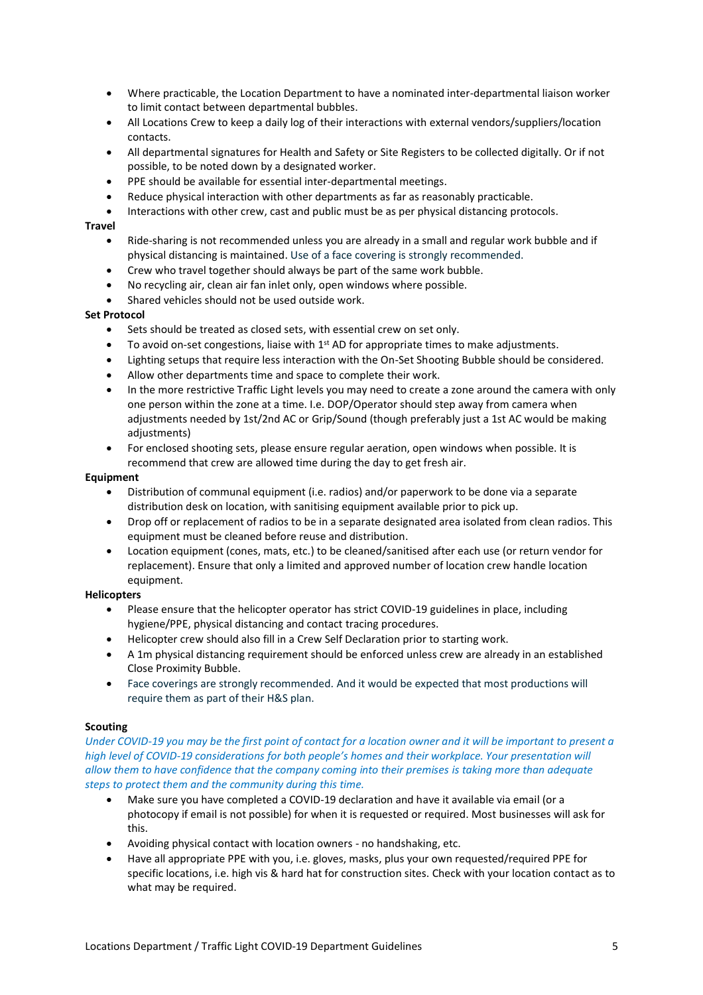- Where practicable, the Location Department to have a nominated inter-departmental liaison worker to limit contact between departmental bubbles.
- All Locations Crew to keep a daily log of their interactions with external vendors/suppliers/location contacts.
- All departmental signatures for Health and Safety or Site Registers to be collected digitally. Or if not possible, to be noted down by a designated worker.
- PPE should be available for essential inter-departmental meetings.
- Reduce physical interaction with other departments as far as reasonably practicable.
- Interactions with other crew, cast and public must be as per physical distancing protocols.

#### **Travel**

- Ride-sharing is not recommended unless you are already in a small and regular work bubble and if physical distancing is maintained. Use of a face covering is strongly recommended.
- Crew who travel together should always be part of the same work bubble.
- No recycling air, clean air fan inlet only, open windows where possible.
- Shared vehicles should not be used outside work.

#### **Set Protocol**

- Sets should be treated as closed sets, with essential crew on set only.
- To avoid on-set congestions, liaise with  $1<sup>st</sup>$  AD for appropriate times to make adjustments.
- Lighting setups that require less interaction with the On-Set Shooting Bubble should be considered.
- Allow other departments time and space to complete their work.
- In the more restrictive Traffic Light levels you may need to create a zone around the camera with only one person within the zone at a time. I.e. DOP/Operator should step away from camera when adjustments needed by 1st/2nd AC or Grip/Sound (though preferably just a 1st AC would be making adjustments)
- For enclosed shooting sets, please ensure regular aeration, open windows when possible. It is recommend that crew are allowed time during the day to get fresh air.

#### **Equipment**

- Distribution of communal equipment (i.e. radios) and/or paperwork to be done via a separate distribution desk on location, with sanitising equipment available prior to pick up.
- Drop off or replacement of radios to be in a separate designated area isolated from clean radios. This equipment must be cleaned before reuse and distribution.
- Location equipment (cones, mats, etc.) to be cleaned/sanitised after each use (or return vendor for replacement). Ensure that only a limited and approved number of location crew handle location equipment.

#### **Helicopters**

- Please ensure that the helicopter operator has strict COVID-19 guidelines in place, including hygiene/PPE, physical distancing and contact tracing procedures.
- Helicopter crew should also fill in a Crew Self Declaration prior to starting work.
- A 1m physical distancing requirement should be enforced unless crew are already in an established Close Proximity Bubble.
- Face coverings are strongly recommended. And it would be expected that most productions will require them as part of their H&S plan.

#### **Scouting**

*Under COVID-19 you may be the first point of contact for a location owner and it will be important to present a high level of COVID-19 considerations for both people's homes and their workplace. Your presentation will allow them to have confidence that the company coming into their premises is taking more than adequate steps to protect them and the community during this time.*

- Make sure you have completed a COVID-19 declaration and have it available via email (or a photocopy if email is not possible) for when it is requested or required. Most businesses will ask for this.
- Avoiding physical contact with location owners no handshaking, etc.
- Have all appropriate PPE with you, i.e. gloves, masks, plus your own requested/required PPE for specific locations, i.e. high vis & hard hat for construction sites. Check with your location contact as to what may be required.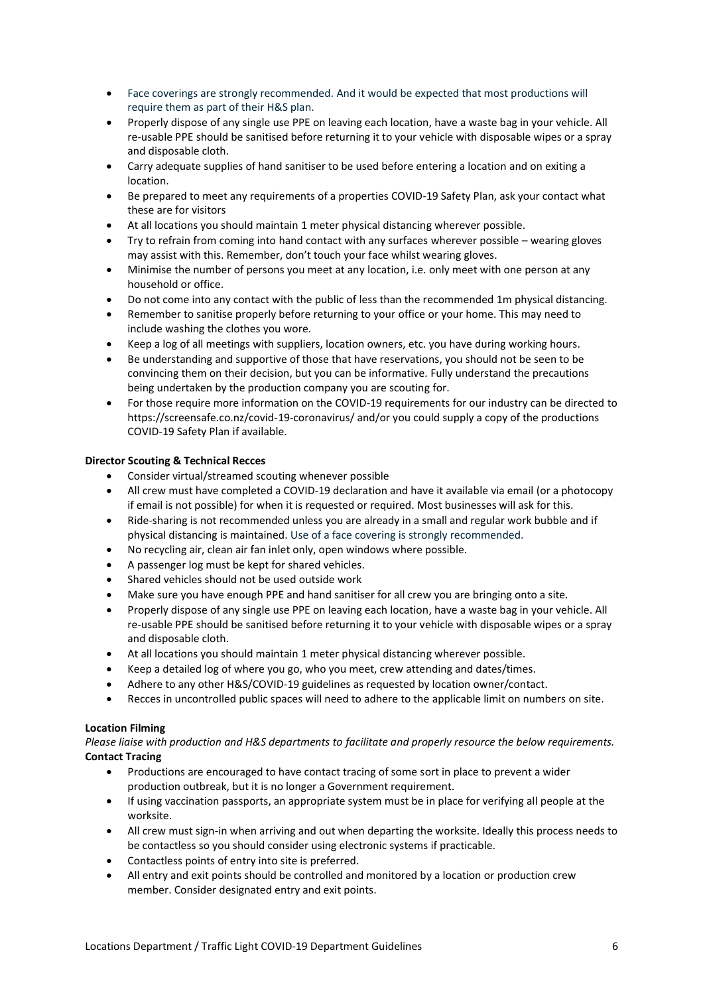- Face coverings are strongly recommended. And it would be expected that most productions will require them as part of their H&S plan.
- Properly dispose of any single use PPE on leaving each location, have a waste bag in your vehicle. All re-usable PPE should be sanitised before returning it to your vehicle with disposable wipes or a spray and disposable cloth.
- Carry adequate supplies of hand sanitiser to be used before entering a location and on exiting a location.
- Be prepared to meet any requirements of a properties COVID-19 Safety Plan, ask your contact what these are for visitors
- At all locations you should maintain 1 meter physical distancing wherever possible.
- Try to refrain from coming into hand contact with any surfaces wherever possible wearing gloves may assist with this. Remember, don't touch your face whilst wearing gloves.
- Minimise the number of persons you meet at any location, i.e. only meet with one person at any household or office.
- Do not come into any contact with the public of less than the recommended 1m physical distancing.
- Remember to sanitise properly before returning to your office or your home. This may need to include washing the clothes you wore.
- Keep a log of all meetings with suppliers, location owners, etc. you have during working hours.
- Be understanding and supportive of those that have reservations, you should not be seen to be convincing them on their decision, but you can be informative. Fully understand the precautions being undertaken by the production company you are scouting for.
- For those require more information on the COVID-19 requirements for our industry can be directed to <https://screensafe.co.nz/covid-19-coronavirus/> and/or you could supply a copy of the productions COVID-19 Safety Plan if available.

#### **Director Scouting & Technical Recces**

- Consider virtual/streamed scouting whenever possible
- All crew must have completed a COVID-19 declaration and have it available via email (or a photocopy if email is not possible) for when it is requested or required. Most businesses will ask for this.
- Ride-sharing is not recommended unless you are already in a small and regular work bubble and if physical distancing is maintained. Use of a face covering is strongly recommended.
- No recycling air, clean air fan inlet only, open windows where possible.
- A passenger log must be kept for shared vehicles.
- Shared vehicles should not be used outside work
- Make sure you have enough PPE and hand sanitiser for all crew you are bringing onto a site.
- Properly dispose of any single use PPE on leaving each location, have a waste bag in your vehicle. All re-usable PPE should be sanitised before returning it to your vehicle with disposable wipes or a spray and disposable cloth.
- At all locations you should maintain 1 meter physical distancing wherever possible.
- Keep a detailed log of where you go, who you meet, crew attending and dates/times.
- Adhere to any other H&S/COVID-19 guidelines as requested by location owner/contact.
- Recces in uncontrolled public spaces will need to adhere to the applicable limit on numbers on site.

#### **Location Filming**

#### *Please liaise with production and H&S departments to facilitate and properly resource the below requirements.* **Contact Tracing**

- Productions are encouraged to have contact tracing of some sort in place to prevent a wider production outbreak, but it is no longer a Government requirement.
- If using vaccination passports, an appropriate system must be in place for verifying all people at the worksite.
- All crew must sign-in when arriving and out when departing the worksite. Ideally this process needs to be contactless so you should consider using electronic systems if practicable.
- Contactless points of entry into site is preferred.
- All entry and exit points should be controlled and monitored by a location or production crew member. Consider designated entry and exit points.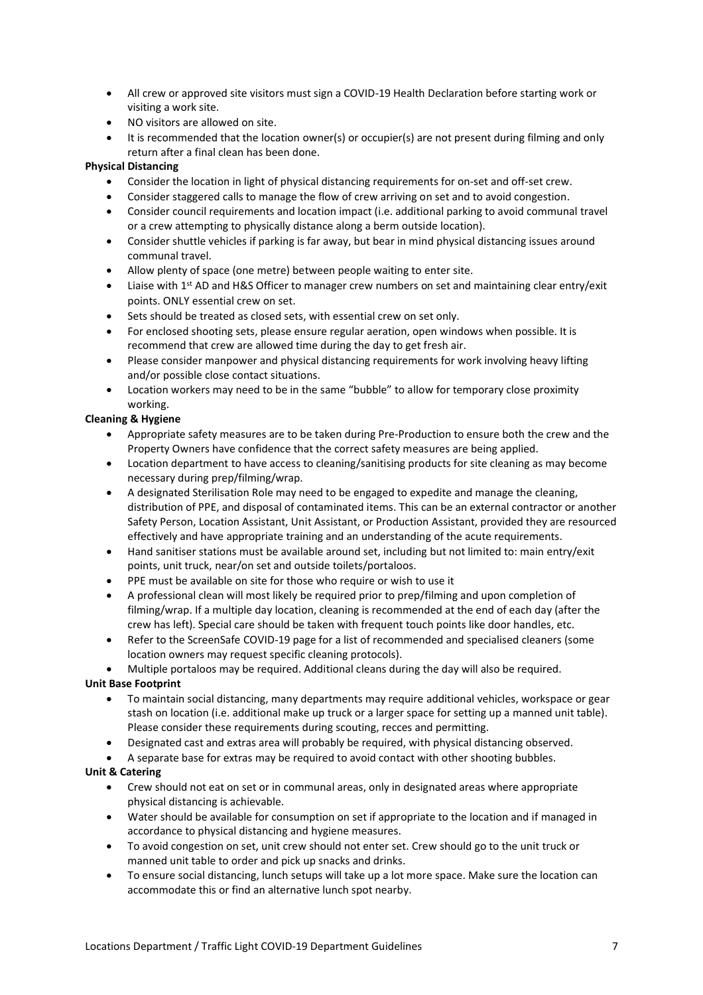- All crew or approved site visitors must sign a COVID-19 Health Declaration before starting work or visiting a work site.
- NO visitors are allowed on site.
- It is recommended that the location owner(s) or occupier(s) are not present during filming and only return after a final clean has been done.

# **Physical Distancing**

- Consider the location in light of physical distancing requirements for on-set and off-set crew.
- Consider staggered calls to manage the flow of crew arriving on set and to avoid congestion.
- Consider council requirements and location impact (i.e. additional parking to avoid communal travel or a crew attempting to physically distance along a berm outside location).
- Consider shuttle vehicles if parking is far away, but bear in mind physical distancing issues around communal travel.
- Allow plenty of space (one metre) between people waiting to enter site.
- Liaise with 1<sup>st</sup> AD and H&S Officer to manager crew numbers on set and maintaining clear entry/exit points. ONLY essential crew on set.
- Sets should be treated as closed sets, with essential crew on set only.
- For enclosed shooting sets, please ensure regular aeration, open windows when possible. It is recommend that crew are allowed time during the day to get fresh air.
- Please consider manpower and physical distancing requirements for work involving heavy lifting and/or possible close contact situations.
- Location workers may need to be in the same "bubble" to allow for temporary close proximity working.

#### **Cleaning & Hygiene**

- Appropriate safety measures are to be taken during Pre-Production to ensure both the crew and the Property Owners have confidence that the correct safety measures are being applied.
- Location department to have access to cleaning/sanitising products for site cleaning as may become necessary during prep/filming/wrap.
- A designated Sterilisation Role may need to be engaged to expedite and manage the cleaning, distribution of PPE, and disposal of contaminated items. This can be an external contractor or another Safety Person, Location Assistant, Unit Assistant, or Production Assistant, provided they are resourced effectively and have appropriate training and an understanding of the acute requirements.
- Hand sanitiser stations must be available around set, including but not limited to: main entry/exit points, unit truck, near/on set and outside toilets/portaloos.
- PPE must be available on site for those who require or wish to use it
- A professional clean will most likely be required prior to prep/filming and upon completion of filming/wrap. If a multiple day location, cleaning is recommended at the end of each day (after the crew has left). Special care should be taken with frequent touch points like door handles, etc.
- Refer to the ScreenSafe COVID-19 page for a list of recommended and specialised cleaners (some location owners may request specific cleaning protocols).

• Multiple portaloos may be required. Additional cleans during the day will also be required.

# **Unit Base Footprint**

- To maintain social distancing, many departments may require additional vehicles, workspace or gear stash on location (i.e. additional make up truck or a larger space for setting up a manned unit table). Please consider these requirements during scouting, recces and permitting.
- Designated cast and extras area will probably be required, with physical distancing observed.
- A separate base for extras may be required to avoid contact with other shooting bubbles.

# **Unit & Catering**

- Crew should not eat on set or in communal areas, only in designated areas where appropriate physical distancing is achievable.
- Water should be available for consumption on set if appropriate to the location and if managed in accordance to physical distancing and hygiene measures.
- To avoid congestion on set, unit crew should not enter set. Crew should go to the unit truck or manned unit table to order and pick up snacks and drinks.
- To ensure social distancing, lunch setups will take up a lot more space. Make sure the location can accommodate this or find an alternative lunch spot nearby.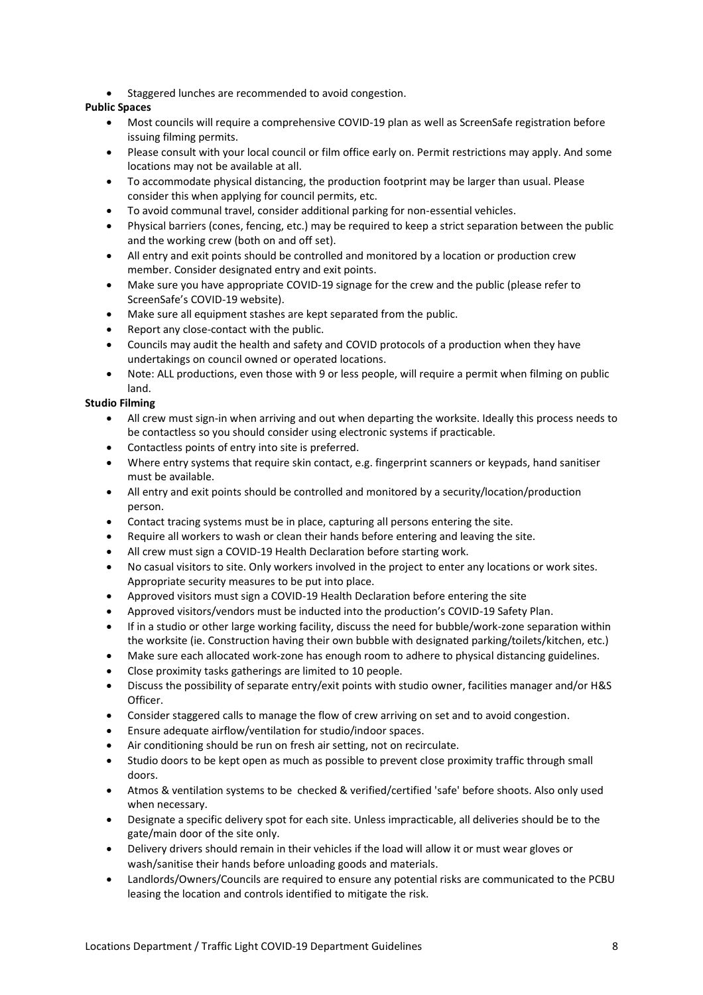• Staggered lunches are recommended to avoid congestion.

# **Public Spaces**

- Most councils will require a comprehensive COVID-19 plan as well as ScreenSafe registration before issuing filming permits.
- Please consult with your local council or film office early on. Permit restrictions may apply. And some locations may not be available at all.
- To accommodate physical distancing, the production footprint may be larger than usual. Please consider this when applying for council permits, etc.
- To avoid communal travel, consider additional parking for non-essential vehicles.
- Physical barriers (cones, fencing, etc.) may be required to keep a strict separation between the public and the working crew (both on and off set).
- All entry and exit points should be controlled and monitored by a location or production crew member. Consider designated entry and exit points.
- Make sure you have appropriate COVID-19 signage for the crew and the public (please refer to ScreenSafe's COVID-19 website).
- Make sure all equipment stashes are kept separated from the public.
- Report any close-contact with the public.
- Councils may audit the health and safety and COVID protocols of a production when they have undertakings on council owned or operated locations.
- Note: ALL productions, even those with 9 or less people, will require a permit when filming on public land.

# **Studio Filming**

- All crew must sign-in when arriving and out when departing the worksite. Ideally this process needs to be contactless so you should consider using electronic systems if practicable.
- Contactless points of entry into site is preferred.
- Where entry systems that require skin contact, e.g. fingerprint scanners or keypads, hand sanitiser must be available.
- All entry and exit points should be controlled and monitored by a security/location/production person.
- Contact tracing systems must be in place, capturing all persons entering the site.
- Require all workers to wash or clean their hands before entering and leaving the site.
- All crew must sign a COVID-19 Health Declaration before starting work.
- No casual visitors to site. Only workers involved in the project to enter any locations or work sites. Appropriate security measures to be put into place.
- Approved visitors must sign a COVID-19 Health Declaration before entering the site
- Approved visitors/vendors must be inducted into the production's COVID-19 Safety Plan.
- If in a studio or other large working facility, discuss the need for bubble/work-zone separation within the worksite (ie. Construction having their own bubble with designated parking/toilets/kitchen, etc.)
- Make sure each allocated work-zone has enough room to adhere to physical distancing guidelines.
- Close proximity tasks gatherings are limited to 10 people.
- Discuss the possibility of separate entry/exit points with studio owner, facilities manager and/or H&S Officer.
- Consider staggered calls to manage the flow of crew arriving on set and to avoid congestion.
- Ensure adequate airflow/ventilation for studio/indoor spaces.
- Air conditioning should be run on fresh air setting, not on recirculate.
- Studio doors to be kept open as much as possible to prevent close proximity traffic through small doors.
- Atmos & ventilation systems to be checked & verified/certified 'safe' before shoots. Also only used when necessary.
- Designate a specific delivery spot for each site. Unless impracticable, all deliveries should be to the gate/main door of the site only.
- Delivery drivers should remain in their vehicles if the load will allow it or must wear gloves or wash/sanitise their hands before unloading goods and materials.
- Landlords/Owners/Councils are required to ensure any potential risks are communicated to the PCBU leasing the location and controls identified to mitigate the risk.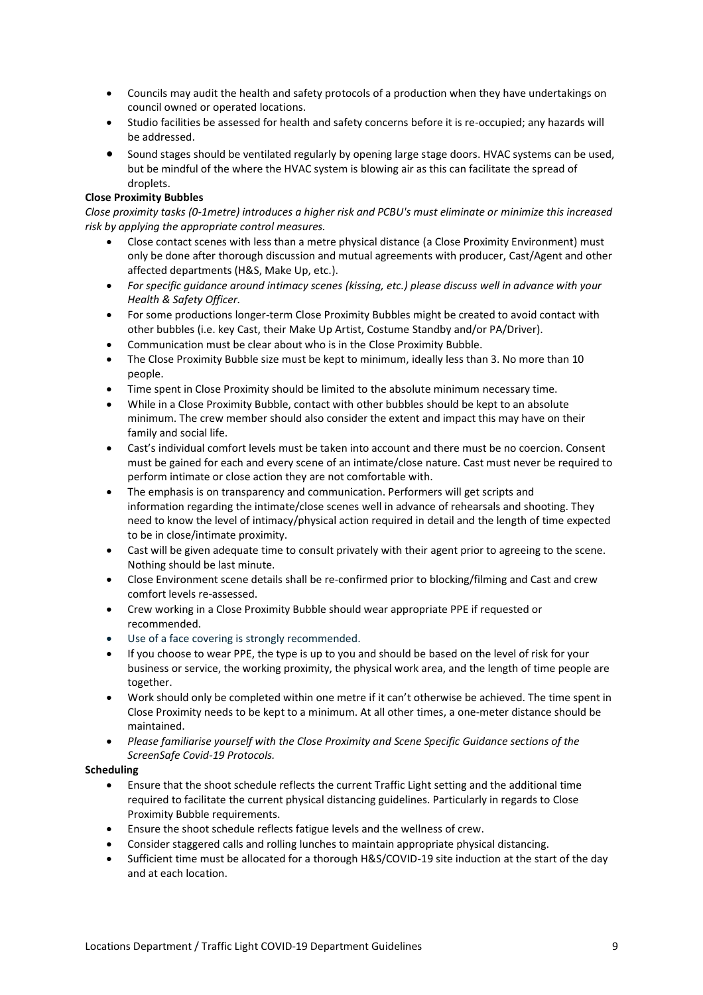- Councils may audit the health and safety protocols of a production when they have undertakings on council owned or operated locations.
- Studio facilities be assessed for health and safety concerns before it is re-occupied; any hazards will be addressed.
- Sound stages should be ventilated regularly by opening large stage doors. HVAC systems can be used, but be mindful of the where the HVAC system is blowing air as this can facilitate the spread of droplets.

#### **Close Proximity Bubbles**

*Close proximity tasks (0-1metre) introduces a higher risk and PCBU's must eliminate or minimize this increased risk by applying the appropriate control measures.* 

- Close contact scenes with less than a metre physical distance (a Close Proximity Environment) must only be done after thorough discussion and mutual agreements with producer, Cast/Agent and other affected departments (H&S, Make Up, etc.).
- *For specific guidance around intimacy scenes (kissing, etc.) please discuss well in advance with your Health & Safety Officer.*
- For some productions longer-term Close Proximity Bubbles might be created to avoid contact with other bubbles (i.e. key Cast, their Make Up Artist, Costume Standby and/or PA/Driver).
- Communication must be clear about who is in the Close Proximity Bubble.
- The Close Proximity Bubble size must be kept to minimum, ideally less than 3. No more than 10 people.
- Time spent in Close Proximity should be limited to the absolute minimum necessary time.
- While in a Close Proximity Bubble, contact with other bubbles should be kept to an absolute minimum. The crew member should also consider the extent and impact this may have on their family and social life.
- Cast's individual comfort levels must be taken into account and there must be no coercion. Consent must be gained for each and every scene of an intimate/close nature. Cast must never be required to perform intimate or close action they are not comfortable with.
- The emphasis is on transparency and communication. Performers will get scripts and information regarding the intimate/close scenes well in advance of rehearsals and shooting. They need to know the level of intimacy/physical action required in detail and the length of time expected to be in close/intimate proximity.
- Cast will be given adequate time to consult privately with their agent prior to agreeing to the scene. Nothing should be last minute.
- Close Environment scene details shall be re-confirmed prior to blocking/filming and Cast and crew comfort levels re-assessed.
- Crew working in a Close Proximity Bubble should wear appropriate PPE if requested or recommended.
- Use of a face covering is strongly recommended.
- If you choose to wear PPE, the type is up to you and should be based on the level of risk for your business or service, the working proximity, the physical work area, and the length of time people are together.
- Work should only be completed within one metre if it can't otherwise be achieved. The time spent in Close Proximity needs to be kept to a minimum. At all other times, a one-meter distance should be maintained.
- *Please familiarise yourself with the Close Proximity and Scene Specific Guidance sections of the ScreenSafe Covid-19 Protocols.*

#### **Scheduling**

- Ensure that the shoot schedule reflects the current Traffic Light setting and the additional time required to facilitate the current physical distancing guidelines. Particularly in regards to Close Proximity Bubble requirements.
- Ensure the shoot schedule reflects fatigue levels and the wellness of crew.
- Consider staggered calls and rolling lunches to maintain appropriate physical distancing.
- Sufficient time must be allocated for a thorough H&S/COVID-19 site induction at the start of the day and at each location.